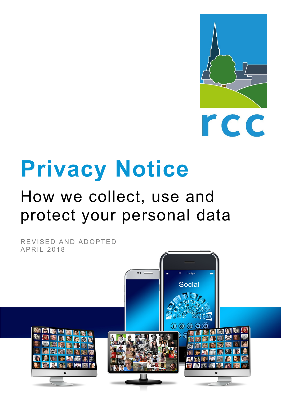

# **Privacy Notice**

## How we collect, use and protect your personal data

REVISED AND ADOPTED APRIL 2018

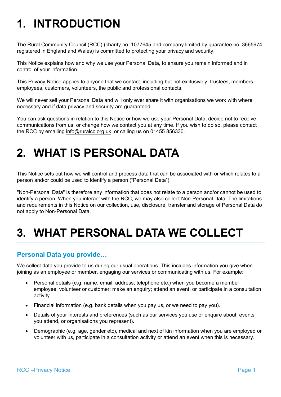### **1. INTRODUCTION**

The Rural Community Council (RCC) (charity no. 1077645 and company limited by guarantee no. 3665974 registered in England and Wales) is committed to protecting your privacy and security.

This Notice explains how and why we use your Personal Data, to ensure you remain informed and in control of your information.

This Privacy Notice applies to anyone that we contact, including but not exclusively; trustees, members, employees, customers, volunteers, the public and professional contacts.

We will never sell your Personal Data and will only ever share it with organisations we work with where necessary and if data privacy and security are guaranteed.

You can ask questions in relation to this Notice or how we use your Personal Data, decide not to receive communications from us, or change how we contact you at any time. If you wish to do so, please contact the RCC by emailing [info@ruralcc.org.uk](mailto:info@ruralcc.org.uk) or calling us on 01455 856330.

### **2. WHAT IS PERSONAL DATA**

This Notice sets out how we will control and process data that can be associated with or which relates to a person and/or could be used to identify a person ("Personal Data").

"Non-Personal Data" is therefore any information that does not relate to a person and/or cannot be used to identify a person. When you interact with the RCC, we may also collect Non-Personal Data. The limitations and requirements in this Notice on our collection, use, disclosure, transfer and storage of Personal Data do not apply to Non-Personal Data.

### **3. WHAT PERSONAL DATA WE COLLECT**

### **Personal Data you provide…**

We collect data you provide to us during our usual operations. This includes information you give when joining as an employee or member, engaging our services or communicating with us. For example:

- Personal details (e.g. name, email, address, telephone etc.) when you become a member, employee, volunteer or customer; make an enquiry; attend an event; or participate in a consultation activity.
- Financial information (e.g. bank details when you pay us, or we need to pay you).
- Details of your interests and preferences (such as our services you use or enquire about, events you attend, or organisations you represent).
- Demographic (e.g. age, gender etc), medical and next of kin information when you are employed or volunteer with us, participate in a consultation activity or attend an event when this is necessary.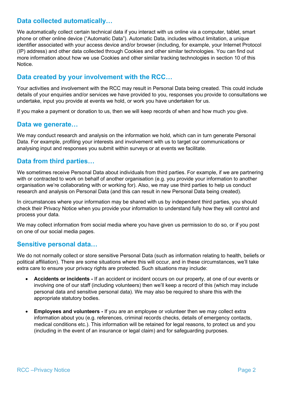### **Data collected automatically…**

We automatically collect certain technical data if you interact with us online via a computer, tablet, smart phone or other online device ("Automatic Data"). Automatic Data, includes without limitation, a unique identifier associated with your access device and/or browser (including, for example, your Internet Protocol (IP) address) and other data collected through Cookies and other similar technologies. You can find out more information about how we use Cookies and other similar tracking technologies in section 10 of this **Notice** 

### **Data created by your involvement with the RCC…**

Your activities and involvement with the RCC may result in Personal Data being created. This could include details of your enquiries and/or services we have provided to you, responses you provide to consultations we undertake, input you provide at events we hold, or work you have undertaken for us.

If you make a payment or donation to us, then we will keep records of when and how much you give.

#### **Data we generate…**

We may conduct research and analysis on the information we hold, which can in turn generate Personal Data. For example, profiling your interests and involvement with us to target our communications or analysing input and responses you submit within surveys or at events we facilitate.

#### **Data from third parties…**

We sometimes receive Personal Data about individuals from third parties. For example, if we are partnering with or contracted to work on behalf of another organisation (e.g. you provide your information to another organisation we're collaborating with or working for). Also, we may use third parties to help us conduct research and analysis on Personal Data (and this can result in new Personal Data being created).

In circumstances where your information may be shared with us by independent third parties, you should check their Privacy Notice when you provide your information to understand fully how they will control and process your data.

We may collect information from social media where you have given us permission to do so, or if you post on one of our social media pages.

#### **Sensitive personal data…**

We do not normally collect or store sensitive Personal Data (such as information relating to health, beliefs or political affiliation). There are some situations where this will occur, and in these circumstances, we'll take extra care to ensure your privacy rights are protected. Such situations may include:

- **Accidents or incidents -** If an accident or incident occurs on our property, at one of our events or involving one of our staff (including volunteers) then we'll keep a record of this (which may include personal data and sensitive personal data). We may also be required to share this with the appropriate statutory bodies.
- **Employees and volunteers -** If you are an employee or volunteer then we may collect extra information about you (e.g. references, criminal records checks, details of emergency contacts, medical conditions etc.). This information will be retained for legal reasons, to protect us and you (including in the event of an insurance or legal claim) and for safeguarding purposes.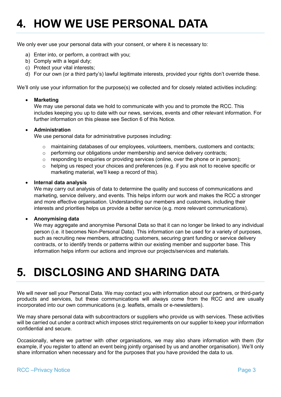### **4. HOW WE USE PERSONAL DATA**

We only ever use your personal data with your consent, or where it is necessary to:

- a) Enter into, or perform, a contract with you;
- b) Comply with a legal duty;
- c) Protect your vital interests;
- d) For our own (or a third party's) lawful legitimate interests, provided your rights don't override these.

We'll only use your information for the purpose(s) we collected and for closely related activities including:

#### • **Marketing**

We may use personal data we hold to communicate with you and to promote the RCC. This includes keeping you up to date with our news, services, events and other relevant information. For further information on this please see Section 6 of this Notice.

#### • **Administration**

We use personal data for administrative purposes including:

- $\circ$  maintaining databases of our employees, volunteers, members, customers and contacts;
- $\circ$  performing our obligations under membership and service delivery contracts;
- $\circ$  responding to enquiries or providing services (online, over the phone or in person);<br>  $\circ$  helping us respect vour choices and preferences (e.g. if you ask not to receive spect
- helping us respect your choices and preferences (e.g. if you ask not to receive specific or marketing material, we'll keep a record of this).

#### • **Internal data analysis**

We may carry out analysis of data to determine the quality and success of communications and marketing, service delivery, and events. This helps inform our work and makes the RCC a stronger and more effective organisation. Understanding our members and customers, including their interests and priorities helps us provide a better service (e.g. more relevant communications).

#### • **Anonymising data**

We may aggregate and anonymise Personal Data so that it can no longer be linked to any individual person (i.e. it becomes Non-Personal Data). This information can be used for a variety of purposes, such as recruiting new members, attracting customers, securing grant funding or service delivery contracts, or to identify trends or patterns within our existing member and supporter base. This information helps inform our actions and improve our projects/services and materials.

### **5. DISCLOSING AND SHARING DATA**

We will never sell your Personal Data. We may contact you with information about our partners, or third-party products and services, but these communications will always come from the RCC and are usually incorporated into our own communications (e.g. leaflets, emails or e-newsletters).

We may share personal data with subcontractors or suppliers who provide us with services. These activities will be carried out under a contract which imposes strict requirements on our supplier to keep your information confidential and secure.

Occasionally, where we partner with other organisations, we may also share information with them (for example, if you register to attend an event being jointly organised by us and another organisation). We'll only share information when necessary and for the purposes that you have provided the data to us.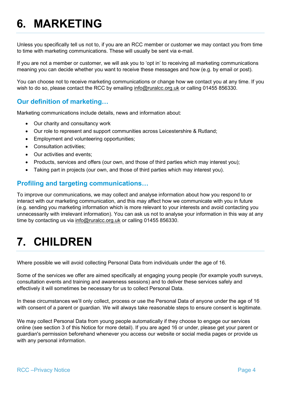### **6. MARKETING**

Unless you specifically tell us not to, if you are an RCC member or customer we may contact you from time to time with marketing communications. These will usually be sent via e-mail.

If you are not a member or customer, we will ask you to 'opt in' to receiving all marketing communications meaning you can decide whether you want to receive these messages and how (e.g. by email or post).

You can choose not to receive marketing communications or change how we contact you at any time. If you wish to do so, please contact the RCC by emailing [info@ruralcc.org.uk](mailto:info@ruralcc.org.uk) or calling 01455 856330.

### **Our definition of marketing…**

Marketing communications include details, news and information about:

- Our charity and consultancy work
- Our role to represent and support communities across Leicestershire & Rutland;
- Employment and volunteering opportunities;
- Consultation activities;
- Our activities and events;
- Products, services and offers (our own, and those of third parties which may interest you);
- Taking part in projects (our own, and those of third parties which may interest you).

### **Profiling and targeting communications…**

To improve our communications, we may collect and analyse information about how you respond to or interact with our marketing communication, and this may affect how we communicate with you in future (e.g. sending you marketing information which is more relevant to your interests and avoid contacting you unnecessarily with irrelevant information). You can ask us not to analyse your information in this way at any time by contacting us via [info@ruralcc.org.uk](mailto:info@ruralcc.org.uk) or calling 01455 856330.

### **7. CHILDREN**

Where possible we will avoid collecting Personal Data from individuals under the age of 16.

Some of the services we offer are aimed specifically at engaging young people (for example youth surveys, consultation events and training and awareness sessions) and to deliver these services safely and effectively it will sometimes be necessary for us to collect Personal Data.

In these circumstances we'll only collect, process or use the Personal Data of anyone under the age of 16 with consent of a parent or quardian. We will always take reasonable steps to ensure consent is legitimate.

We may collect Personal Data from young people automatically if they choose to engage our services online (see section 3 of this Notice for more detail). If you are aged 16 or under, please get your parent or guardian's permission beforehand whenever you access our website or social media pages or provide us with any personal information.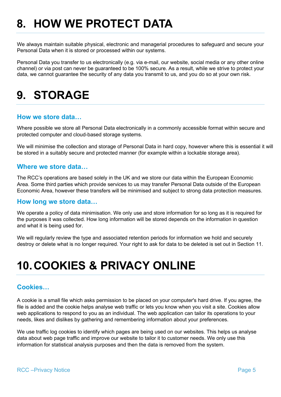### **8. HOW WE PROTECT DATA**

We always maintain suitable physical, electronic and managerial procedures to safeguard and secure your Personal Data when it is stored or processed within our systems.

Personal Data you transfer to us electronically (e.g. via e-mail, our website, social media or any other online channel) or via post can never be guaranteed to be 100% secure. As a result, while we strive to protect your data, we cannot guarantee the security of any data you transmit to us, and you do so at your own risk.

### **9. STORAGE**

#### **How we store data…**

Where possible we store all Personal Data electronically in a commonly accessible format within secure and protected computer and cloud-based storage systems.

We will minimise the collection and storage of Personal Data in hard copy, however where this is essential it will be stored in a suitably secure and protected manner (for example within a lockable storage area).

#### **Where we store data…**

The RCC's operations are based solely in the UK and we store our data within the European Economic Area. Some third parties which provide services to us may transfer Personal Data outside of the European Economic Area, however these transfers will be minimised and subject to strong data protection measures.

#### **How long we store data…**

We operate a policy of data minimisation. We only use and store information for so long as it is required for the purposes it was collected. How long information will be stored depends on the information in question and what it is being used for.

We will regularly review the type and associated retention periods for information we hold and securely destroy or delete what is no longer required. Your right to ask for data to be deleted is set out in Section 11.

### **10.COOKIES & PRIVACY ONLINE**

#### **Cookies…**

A cookie is a small file which asks permission to be placed on your computer's hard drive. If you agree, the file is added and the cookie helps analyse web traffic or lets you know when you visit a site. Cookies allow web applications to respond to you as an individual. The web application can tailor its operations to your needs, likes and dislikes by gathering and remembering information about your preferences.

We use traffic log cookies to identify which pages are being used on our websites. This helps us analyse data about web page traffic and improve our website to tailor it to customer needs. We only use this information for statistical analysis purposes and then the data is removed from the system.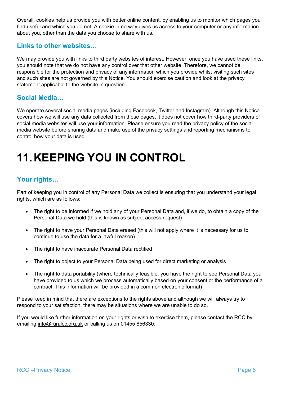Overall, cookies help us provide you with better online content, by enabling us to monitor which pages you find useful and which you do not. A cookie in no way gives us access to your computer or any information about you, other than the data you choose to share with us.

### **Links to other websites…**

We may provide you with links to third party websites of interest. However, once you have used these links, you should note that we do not have any control over that other website. Therefore, we cannot be responsible for the protection and privacy of any information which you provide whilst visiting such sites and such sites are not governed by this Notice. You should exercise caution and look at the privacy statement applicable to the website in question.

### **Social Media…**

We operate several social media pages (including Facebook, Twitter and Instagram). Although this Notice covers how we will use any data collected from those pages, it does not cover how third-party providers of social media websites will use your information. Please ensure you read the privacy policy of the social media website before sharing data and make use of the privacy settings and reporting mechanisms to control how your data is used.

### **11.KEEPING YOU IN CONTROL**

### **Your rights…**

Part of keeping you in control of any Personal Data we collect is ensuring that you understand your legal rights, which are as follows:

- The right to be informed if we hold any of your Personal Data and, if we do, to obtain a copy of the Personal Data we hold (this is known as subject access request)
- The right to have your Personal Data erased (this will not apply where it is necessary for us to continue to use the data for a lawful reason)
- The right to have inaccurate Personal Data rectified
- The right to object to your Personal Data being used for direct marketing or analysis
- The right to data portability (where technically feasible, you have the right to see Personal Data you have provided to us which we process automatically based on your consent or the performance of a contract. This information will be provided in a common electronic format)

Please keep in mind that there are exceptions to the rights above and although we will always try to respond to your satisfaction, there may be situations where we are unable to do so.

If you would like further information on your rights or wish to exercise them, please contact the RCC by emailing [info@ruralcc.org.uk](mailto:info@ruralcc.org.uk) or calling us on 01455 856330.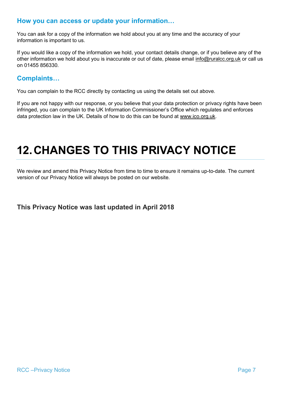### **How you can access or update your information…**

You can ask for a copy of the information we hold about you at any time and the accuracy of your information is important to us.

If you would like a copy of the information we hold, your contact details change, or if you believe any of the other information we hold about you is inaccurate or out of date, please email [info@ruralcc.org.uk](mailto:info@ruralcc.org.uk) or call us on 01455 856330.

### **Complaints…**

You can complain to the RCC directly by contacting us using the details set out above.

If you are not happy with our response, or you believe that your data protection or privacy rights have been infringed, you can complain to the UK Information Commissioner's Office which regulates and enforces data protection law in the UK. Details of how to do this can be found at [www.ico.org.uk.](http://www.ico.org.uk/)

### **12.CHANGES TO THIS PRIVACY NOTICE**

We review and amend this Privacy Notice from time to time to ensure it remains up-to-date. The current version of our Privacy Notice will always be posted on our website.

#### **This Privacy Notice was last updated in April 2018**